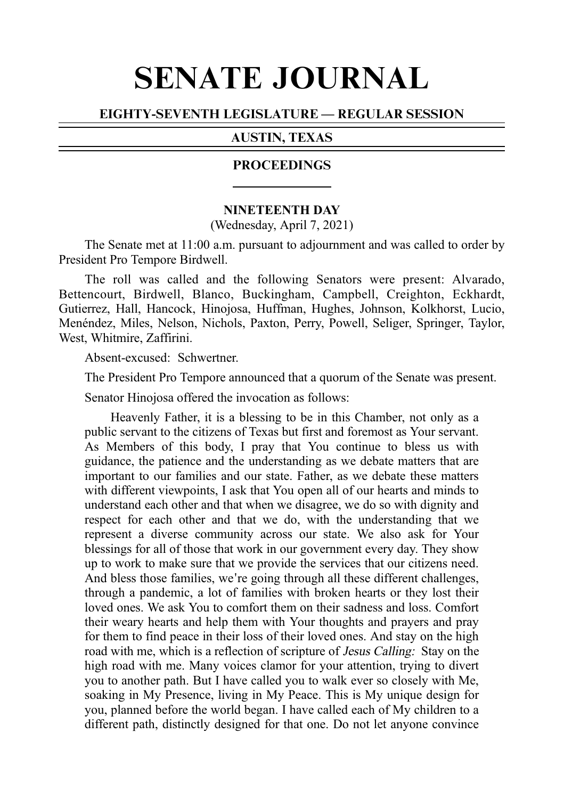# SENATE JOURNAL

# EIGHTY-SEVENTH LEGISLATURE — REGULAR SESSION

# AUSTIN, TEXAS

## **PROCEEDINGS**

#### **NINETEENTH DAY**

(Wednesday, April 7, 2021)

The Senate met at 11:00 a.m. pursuant to adjournment and was called to order by President Pro Tempore Birdwell.

The roll was called and the following Senators were present: Alvarado, Bettencourt, Birdwell, Blanco, Buckingham, Campbell, Creighton, Eckhardt, Gutierrez, Hall, Hancock, Hinojosa, Huffman, Hughes, Johnson, Kolkhorst, Lucio, Menéndez, Miles, Nelson, Nichols, Paxton, Perry, Powell, Seliger, Springer, Taylor, West, Whitmire, Zaffirini.

Absent-excused: Schwertner.

The President Pro Tempore announced that a quorum of the Senate was present.

Senator Hinojosa offered the invocation as follows:

Heavenly Father, it is a blessing to be in this Chamber, not only as a public servant to the citizens of Texas but first and foremost as Your servant. As Members of this body, I pray that You continue to bless us with guidance, the patience and the understanding as we debate matters that are important to our families and our state. Father, as we debate these matters with different viewpoints, I ask that You open all of our hearts and minds to understand each other and that when we disagree, we do so with dignity and respect for each other and that we do, with the understanding that we represent a diverse community across our state. We also ask for Your blessings for all of those that work in our government every day. They show up to work to make sure that we provide the services that our citizens need. And bless those families, we're going through all these different challenges, through a pandemic, a lot of families with broken hearts or they lost their loved ones. We ask You to comfort them on their sadness and loss. Comfort their weary hearts and help them with Your thoughts and prayers and pray for them to find peace in their loss of their loved ones. And stay on the high road with me, which is a reflection of scripture of Jesus Calling: Stay on the high road with me. Many voices clamor for your attention, trying to divert you to another path. But I have called you to walk ever so closely with Me, soaking in My Presence, living in My Peace. This is My unique design for you, planned before the world began. I have called each of My children to a different path, distinctly designed for that one. Do not let anyone convince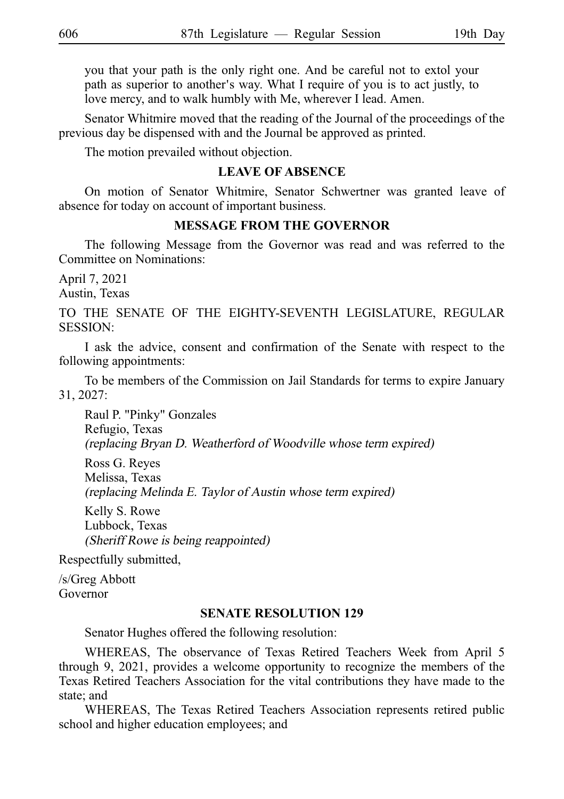you that your path is the only right one. And be careful not to extol your path as superior to another's way. What I require of you is to act justly, to love mercy, and to walk humbly with Me, wherever I lead. Amen.

Senator Whitmire moved that the reading of the Journal of the proceedings of the previous day be dispensed with and the Journal be approved as printed.

The motion prevailed without objection.

## **LEAVE OF ABSENCE**

On motion of Senator Whitmire, Senator Schwertner was granted leave of absence for today on account of important business.

## **MESSAGE FROM THE GOVERNOR**

The following Message from the Governor was read and was referred to the Committee on Nominations:

April 7, 2021

Austin, Texas

TO THE SENATE OF THE EIGHTY-SEVENTH LEGISLATURE, REGULAR SESSION:

I ask the advice, consent and confirmation of the Senate with respect to the following appointments:

To be members of the Commission on Jail Standards for terms to expire January 31, 2027:

Raul P. "Pinky" Gonzales Refugio, Texas (replacing Bryan D. Weatherford of Woodville whose term expired)

Ross G. Reyes Melissa, Texas (replacing Melinda E. Taylor of Austin whose term expired)

Kelly S. Rowe Lubbock, Texas (Sheriff Rowe is being reappointed)

Respectfully submitted,

/s/Greg Abbott Governor

## **SENATE RESOLUTION 129**

Senator Hughes offered the following resolution:

WHEREAS, The observance of Texas Retired Teachers Week from April 5 through 9, 2021, provides a welcome opportunity to recognize the members of the Texas Retired Teachers Association for the vital contributions they have made to the state; and

WHEREAS, The Texas Retired Teachers Association represents retired public school and higher education employees; and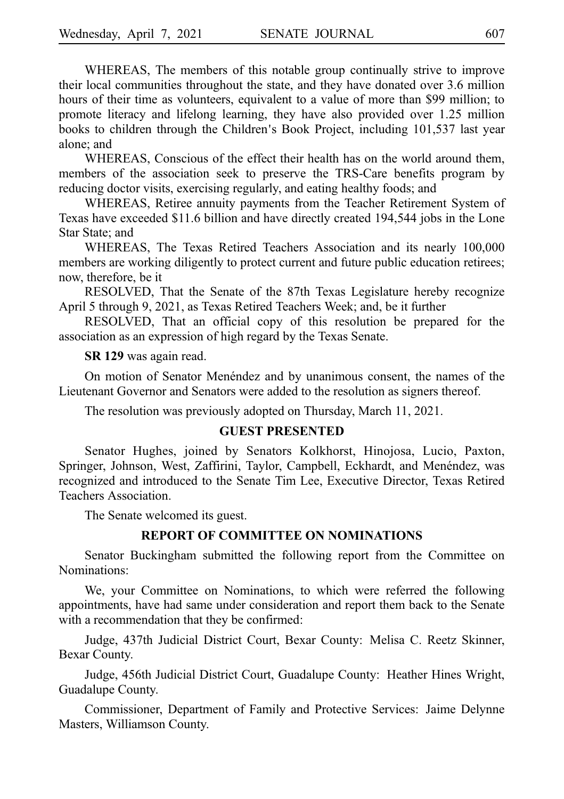WHEREAS, The members of this notable group continually strive to improve their local communities throughout the state, and they have donated over 3.6 million hours of their time as volunteers, equivalent to a value of more than \$99 million; to promote literacy and lifelong learning, they have also provided over 1.25 million books to children through the Children's Book Project, including 101,537 last year alone; and

WHEREAS, Conscious of the effect their health has on the world around them, members of the association seek to preserve the TRS-Care benefits program by reducing doctor visits, exercising regularly, and eating healthy foods; and

WHEREAS, Retiree annuity payments from the Teacher Retirement System of Texas have exceeded \$11.6 billion and have directly created 194,544 jobs in the Lone Star State; and

WHEREAS, The Texas Retired Teachers Association and its nearly 100,000 members are working diligently to protect current and future public education retirees; now, therefore, be it

RESOLVED, That the Senate of the 87th Texas Legislature hereby recognize April 5 through 9, 2021, as Texas Retired Teachers Week; and, be it further

RESOLVED, That an official copy of this resolution be prepared for the association as an expression of high regard by the Texas Senate.

**SR 129** was again read.

On motion of Senator Menéndez and by unanimous consent, the names of the Lieutenant Governor and Senators were added to the resolution as signers thereof.

The resolution was previously adopted on Thursday, March 11, 2021.

## **GUEST PRESENTED**

Senator Hughes, joined by Senators Kolkhorst, Hinojosa, Lucio, Paxton, Springer, Johnson, West, Zaffirini, Taylor, Campbell, Eckhardt, and Menéndez, was recognized and introduced to the Senate Tim Lee, Executive Director, Texas Retired Teachers Association.

The Senate welcomed its guest.

## **REPORT OF COMMITTEE ON NOMINATIONS**

Senator Buckingham submitted the following report from the Committee on Nominations:

We, your Committee on Nominations, to which were referred the following appointments, have had same under consideration and report them back to the Senate with a recommendation that they be confirmed:

Judge, 437th Judicial District Court, Bexar County: Melisa C. Reetz Skinner, Bexar County.

Judge, 456th Judicial District Court, Guadalupe County: Heather Hines Wright, Guadalupe County.

Commissioner, Department of Family and Protective Services: Jaime Delynne Masters, Williamson County.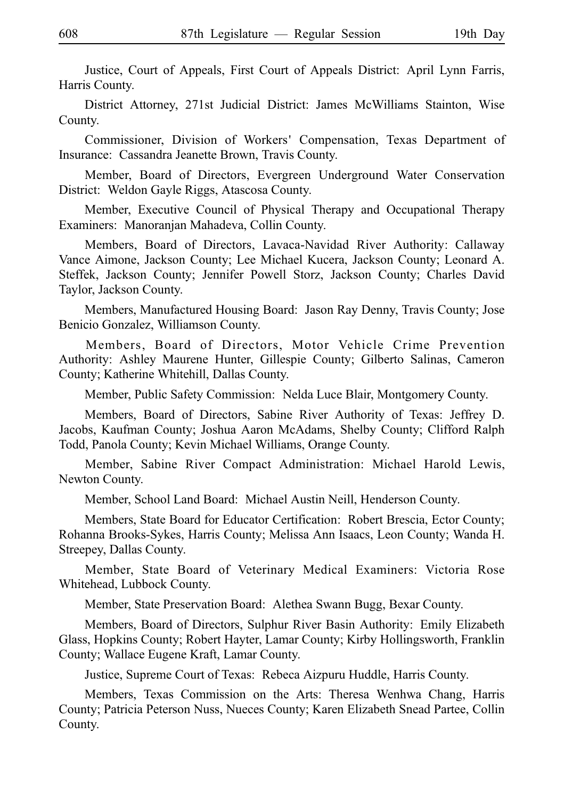Justice, Court of Appeals, First Court of Appeals District: April Lynn Farris, Harris County.

District Attorney, 271st Judicial District: James McWilliams Stainton, Wise County.

Commissioner, Division of Workers' Compensation, Texas Department of Insurance: Cassandra Jeanette Brown, Travis County.

Member, Board of Directors, Evergreen Underground Water Conservation District: Weldon Gayle Riggs, Atascosa County.

Member, Executive Council of Physical Therapy and Occupational Therapy Examiners: Manoranjan Mahadeva, Collin County.

Members, Board of Directors, Lavaca-Navidad River Authority: Callaway Vance Aimone, Jackson County; Lee Michael Kucera, Jackson County; Leonard A. Steffek, Jackson County; Jennifer Powell Storz, Jackson County; Charles David Taylor, Jackson County.

Members, Manufactured Housing Board: Jason Ray Denny, Travis County; Jose Benicio Gonzalez, Williamson County.

Members, Board of Directors, Motor Vehicle Crime Prevention Authority: Ashley Maurene Hunter, Gillespie County; Gilberto Salinas, Cameron County; Katherine Whitehill, Dallas County.

Member, Public Safety Commission: Nelda Luce Blair, Montgomery County.

Members, Board of Directors, Sabine River Authority of Texas: Jeffrey D. Jacobs, Kaufman County; Joshua Aaron McAdams, Shelby County; Clifford Ralph Todd, Panola County; Kevin Michael Williams, Orange County.

Member, Sabine River Compact Administration: Michael Harold Lewis, Newton County.

Member, School Land Board: Michael Austin Neill, Henderson County.

Members, State Board for Educator Certification: Robert Brescia, Ector County; Rohanna Brooks-Sykes, Harris County; Melissa Ann Isaacs, Leon County; Wanda H. Streepey, Dallas County.

Member, State Board of Veterinary Medical Examiners: Victoria Rose Whitehead, Lubbock County.

Member, State Preservation Board: Alethea Swann Bugg, Bexar County.

Members, Board of Directors, Sulphur River Basin Authority: Emily Elizabeth Glass, Hopkins County; Robert Hayter, Lamar County; Kirby Hollingsworth, Franklin County; Wallace Eugene Kraft, Lamar County.

Justice, Supreme Court of Texas: Rebeca Aizpuru Huddle, Harris County.

Members, Texas Commission on the Arts: Theresa Wenhwa Chang, Harris County; Patricia Peterson Nuss, Nueces County; Karen Elizabeth Snead Partee, Collin County.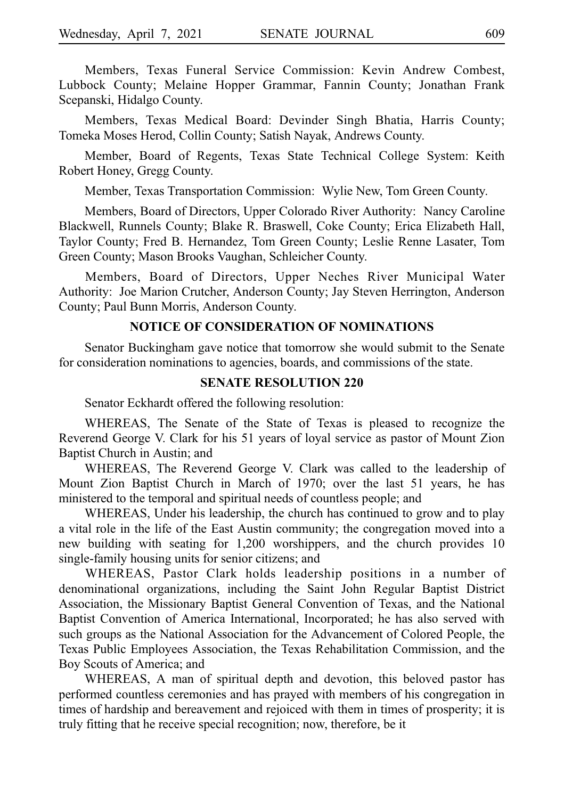Members, Texas Funeral Service Commission: Kevin Andrew Combest, Lubbock County; Melaine Hopper Grammar, Fannin County; Jonathan Frank Scepanski, Hidalgo County.

Members, Texas Medical Board: Devinder Singh Bhatia, Harris County; Tomeka Moses Herod, Collin County; Satish Nayak, Andrews County.

Member, Board of Regents, Texas State Technical College System: Keith Robert Honey, Gregg County.

Member, Texas Transportation Commission: Wylie New, Tom Green County.

Members, Board of Directors, Upper Colorado River Authority: Nancy Caroline Blackwell, Runnels County; Blake R. Braswell, Coke County; Erica Elizabeth Hall, Taylor County; Fred B. Hernandez, Tom Green County; Leslie Renne Lasater, Tom Green County; Mason Brooks Vaughan, Schleicher County.

Members, Board of Directors, Upper Neches River Municipal Water Authority: Joe Marion Crutcher, Anderson County; Jay Steven Herrington, Anderson County; Paul Bunn Morris, Anderson County.

## **NOTICE OF CONSIDERATION OF NOMINATIONS**

Senator Buckingham gave notice that tomorrow she would submit to the Senate for consideration nominations to agencies, boards, and commissions of the state.

## **SENATE RESOLUTION 220**

Senator Eckhardt offered the following resolution:

WHEREAS, The Senate of the State of Texas is pleased to recognize the Reverend George V. Clark for his 51 years of loyal service as pastor of Mount Zion Baptist Church in Austin; and

WHEREAS, The Reverend George V. Clark was called to the leadership of Mount Zion Baptist Church in March of 1970; over the last 51 years, he has ministered to the temporal and spiritual needs of countless people; and

WHEREAS, Under his leadership, the church has continued to grow and to play a vital role in the life of the East Austin community; the congregation moved into a new building with seating for 1,200 worshippers, and the church provides 10 single-family housing units for senior citizens; and

WHEREAS, Pastor Clark holds leadership positions in a number of denominational organizations, including the Saint John Regular Baptist District Association, the Missionary Baptist General Convention of Texas, and the National Baptist Convention of America International, Incorporated; he has also served with such groups as the National Association for the Advancement of Colored People, the Texas Public Employees Association, the Texas Rehabilitation Commission, and the Boy Scouts of America; and

WHEREAS, A man of spiritual depth and devotion, this beloved pastor has performed countless ceremonies and has prayed with members of his congregation in times of hardship and bereavement and rejoiced with them in times of prosperity; it is truly fitting that he receive special recognition; now, therefore, be it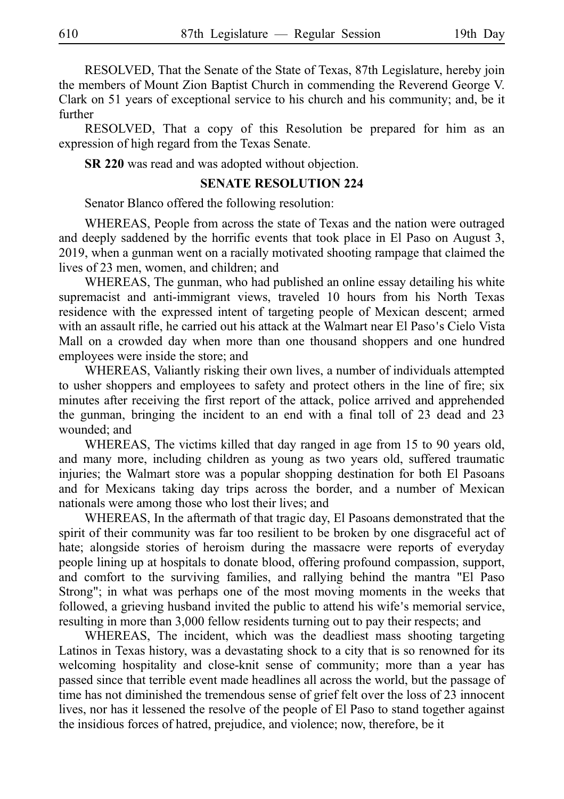RESOLVED, That the Senate of the State of Texas, 87th Legislature, hereby join the members of Mount Zion Baptist Church in commending the Reverend George V. Clark on 51 years of exceptional service to his church and his community; and, be it further

RESOLVED, That a copy of this Resolution be prepared for him as an expression of high regard from the Texas Senate.

**SR 220** was read and was adopted without objection.

#### **SENATE RESOLUTION 224**

Senator Blanco offered the following resolution:

WHEREAS, People from across the state of Texas and the nation were outraged and deeply saddened by the horrific events that took place in El Paso on August 3, 2019, when a gunman went on a racially motivated shooting rampage that claimed the lives of 23 men, women, and children; and

WHEREAS, The gunman, who had published an online essay detailing his white supremacist and anti-immigrant views, traveled 10 hours from his North Texas residence with the expressed intent of targeting people of Mexican descent; armed with an assault rifle, he carried out his attack at the Walmart near El Paso's Cielo Vista Mall on a crowded day when more than one thousand shoppers and one hundred employees were inside the store; and

WHEREAS, Valiantly risking their own lives, a number of individuals attempted to usher shoppers and employees to safety and protect others in the line of fire; six minutes after receiving the first report of the attack, police arrived and apprehended the gunman, bringing the incident to an end with a final toll of 23 dead and 23 wounded; and

WHEREAS, The victims killed that day ranged in age from 15 to 90 years old, and many more, including children as young as two years old, suffered traumatic injuries; the Walmart store was a popular shopping destination for both El Pasoans and for Mexicans taking day trips across the border, and a number of Mexican nationals were among those who lost their lives; and

WHEREAS, In the aftermath of that tragic day, El Pasoans demonstrated that the spirit of their community was far too resilient to be broken by one disgraceful act of hate; alongside stories of heroism during the massacre were reports of everyday people lining up at hospitals to donate blood, offering profound compassion, support, and comfort to the surviving families, and rallying behind the mantra "El Paso Strong"; in what was perhaps one of the most moving moments in the weeks that followed, a grieving husband invited the public to attend his wife's memorial service, resulting in more than 3,000 fellow residents turning out to pay their respects; and

WHEREAS, The incident, which was the deadliest mass shooting targeting Latinos in Texas history, was a devastating shock to a city that is so renowned for its welcoming hospitality and close-knit sense of community; more than a year has passed since that terrible event made headlines all across the world, but the passage of time has not diminished the tremendous sense of grief felt over the loss of 23 innocent lives, nor has it lessened the resolve of the people of El Paso to stand together against the insidious forces of hatred, prejudice, and violence; now, therefore, be it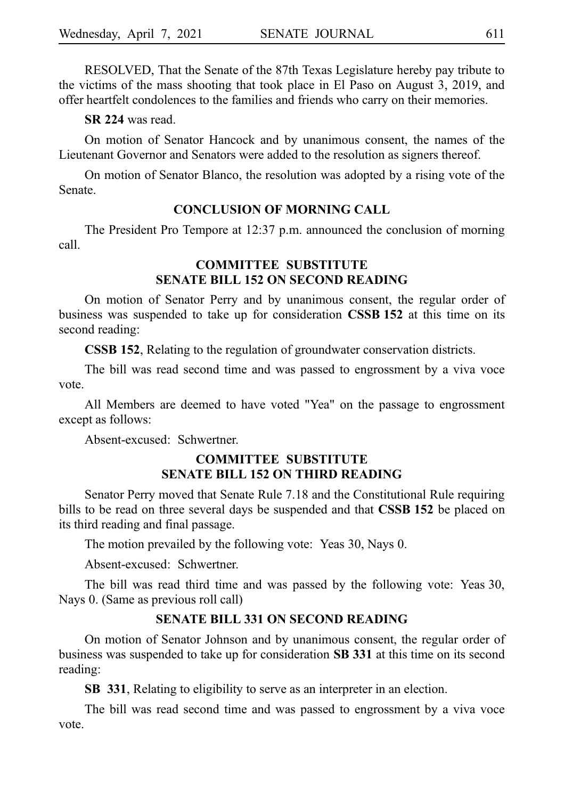RESOLVED, That the Senate of the 87th Texas Legislature hereby pay tribute to the victims of the mass shooting that took place in El Paso on August 3, 2019, and offer heartfelt condolences to the families and friends who carry on their memories.

**SR 224** was read.

On motion of Senator Hancock and by unanimous consent, the names of the Lieutenant Governor and Senators were added to the resolution as signers thereof.

On motion of Senator Blanco, the resolution was adopted by a rising vote of the Senate.

## **CONCLUSION OF MORNING CALL**

The President Pro Tempore at 12:37 p.m. announced the conclusion of morning call.

# **COMMITTEE SUBSTITUTE SENATE BILL 152 ON SECOND READING**

On motion of Senator Perry and by unanimous consent, the regular order of business was suspended to take up for consideration **CSSBi152** at this time on its second reading:

**CSSB 152**, Relating to the regulation of groundwater conservation districts.

The bill was read second time and was passed to engrossment by a viva voce vote.

All Members are deemed to have voted "Yea" on the passage to engrossment except as follows:

Absent-excused: Schwertner.

# **COMMITTEE SUBSTITUTE SENATE BILL 152 ON THIRD READING**

Senator Perry moved that Senate Rule 7.18 and the Constitutional Rule requiring bills to be read on three several days be suspended and that **CSSB 152** be placed on its third reading and final passage.

The motion prevailed by the following vote: Yeas 30, Nays 0.

Absent-excused: Schwertner.

The bill was read third time and was passed by the following vote: Yeas 30, Nays 0. (Same as previous roll call)

## **SENATE BILL 331 ON SECOND READING**

On motion of Senator Johnson and by unanimous consent, the regular order of business was suspended to take up for consideration **SBi331** at this time on its second reading:

**SB i331**, Relating to eligibility to serve as an interpreter in an election.

The bill was read second time and was passed to engrossment by a viva voce vote.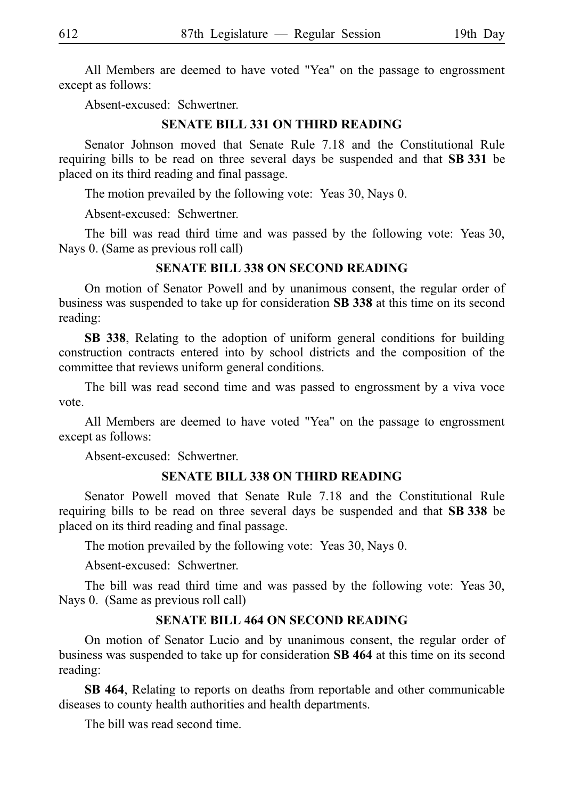All Members are deemed to have voted "Yea" on the passage to engrossment except as follows:

Absent-excused: Schwertner.

## **SENATE BILL 331 ON THIRD READING**

Senator Johnson moved that Senate Rule 7.18 and the Constitutional Rule requiring bills to be read on three several days be suspended and that **SB 331** be placed on its third reading and final passage.

The motion prevailed by the following vote: Yeas 30, Nays 0.

Absent-excused: Schwertner.

The bill was read third time and was passed by the following vote: Yeas 30, Nays 0. (Same as previous roll call)

## **SENATE BILL 338 ON SECOND READING**

On motion of Senator Powell and by unanimous consent, the regular order of business was suspended to take up for consideration SB 338 at this time on its second reading:

**SB 338**, Relating to the adoption of uniform general conditions for building construction contracts entered into by school districts and the composition of the committee that reviews uniform general conditions.

The bill was read second time and was passed to engrossment by a viva voce vote.

All Members are deemed to have voted "Yea" on the passage to engrossment except as follows:

Absent-excused: Schwertner.

#### **SENATE BILL 338 ON THIRD READING**

Senator Powell moved that Senate Rule 7.18 and the Constitutional Rule requiring bills to be read on three several days be suspended and that SB 338 be placed on its third reading and final passage.

The motion prevailed by the following vote: Yeas 30, Nays 0.

Absent-excused: Schwertner.

The bill was read third time and was passed by the following vote: Yeas 30, Nays 0. (Same as previous roll call)

#### **SENATE BILL 464 ON SECOND READING**

On motion of Senator Lucio and by unanimous consent, the regular order of business was suspended to take up for consideration **SB 464** at this time on its second reading:

**SB 464**, Relating to reports on deaths from reportable and other communicable diseases to county health authorities and health departments.

The bill was read second time.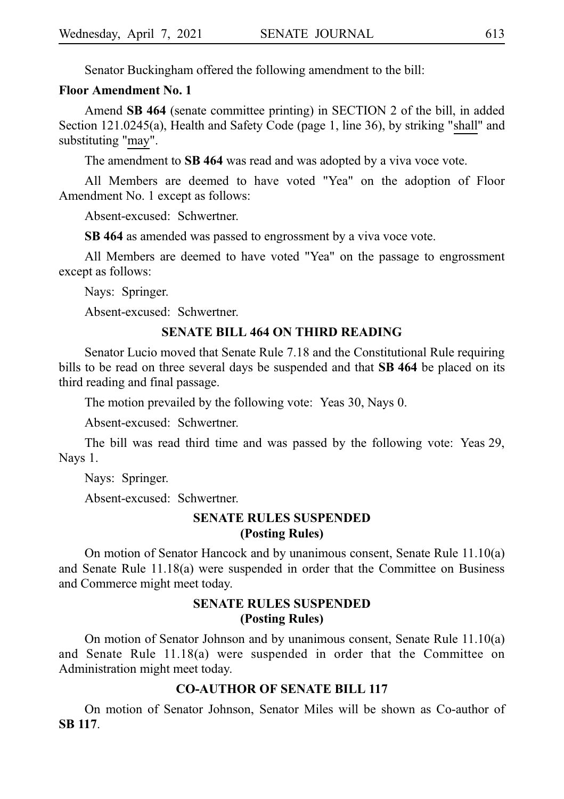Senator Buckingham offered the following amendment to the bill:

#### **Floor Amendment No. 1**

Amend **SB 464** (senate committee printing) in SECTION 2 of the bill, in added Section 121.0245(a), Health and Safety Code (page 1, line 36), by striking "shall" and substituting "may".

The amendment to **SB 464** was read and was adopted by a viva voce vote.

All Members are deemed to have voted "Yea" on the adoption of Floor Amendment No. 1 except as follows:

Absent-excused: Schwertner.

**SB 464** as amended was passed to engrossment by a viva voce vote.

All Members are deemed to have voted "Yea" on the passage to engrossment except as follows:

Nays: Springer.

Absent-excused: Schwertner.

## **SENATE BILL 464 ON THIRD READING**

Senator Lucio moved that Senate Rule 7.18 and the Constitutional Rule requiring bills to be read on three several days be suspended and that **SB 464** be placed on its third reading and final passage.

The motion prevailed by the following vote: Yeas 30, Nays 0.

Absent-excused: Schwertner.

The bill was read third time and was passed by the following vote: Yeas 29, Nays 1.

Nays: Springer.

Absent-excused: Schwertner.

# **SENATE RULES SUSPENDED (Posting Rules)**

On motion of Senator Hancock and by unanimous consent, Senate Rule 11.10(a) and Senate Rule 11.18(a) were suspended in order that the Committee on Business and Commerce might meet today.

# **SENATE RULES SUSPENDED (Posting Rules)**

On motion of Senator Johnson and by unanimous consent, Senate Rule 11.10(a) and Senate Rule 11.18(a) were suspended in order that the Committee on Administration might meet today.

## **CO-AUTHOR OF SENATE BILL 117**

On motion of Senator Johnson, Senator Miles will be shown as Co-author of **SBi117**.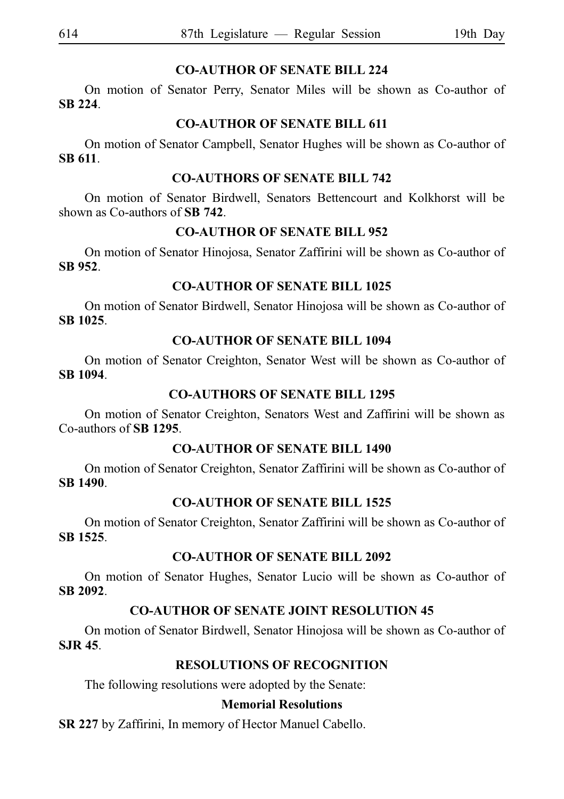# **CO-AUTHOR OF SENATE BILL 224**

On motion of Senator Perry, Senator Miles will be shown as Co-author of **SBi224**.

# **CO-AUTHOR OF SENATE BILL 611**

On motion of Senator Campbell, Senator Hughes will be shown as Co-author of **SBi611**.

# **CO-AUTHORS OF SENATE BILL 742**

On motion of Senator Birdwell, Senators Bettencourt and Kolkhorst will be shown as Co-authors of **SB** 742.

# **CO-AUTHOR OF SENATE BILL 952**

On motion of Senator Hinojosa, Senator Zaffirini will be shown as Co-author of **SBi952**.

# **CO-AUTHOR OF SENATE BILL 1025**

On motion of Senator Birdwell, Senator Hinojosa will be shown as Co-author of **SBi1025**.

# **CO-AUTHOR OF SENATE BILL 1094**

On motion of Senator Creighton, Senator West will be shown as Co-author of **SBi1094**.

# **CO-AUTHORS OF SENATE BILL 1295**

On motion of Senator Creighton, Senators West and Zaffirini will be shown as Co-authors of **SBi1295**.

# **CO-AUTHOR OF SENATE BILL 1490**

On motion of Senator Creighton, Senator Zaffirini will be shown as Co-author of **SBi1490**.

# **CO-AUTHOR OF SENATE BILL 1525**

On motion of Senator Creighton, Senator Zaffirini will be shown as Co-author of **SBi1525**.

# **CO-AUTHOR OF SENATE BILL 2092**

On motion of Senator Hughes, Senator Lucio will be shown as Co-author of **SBi2092**.

# **CO-AUTHOR OF SENATE JOINT RESOLUTION 45**

On motion of Senator Birdwell, Senator Hinojosa will be shown as Co-author of **SJR 45**.

# **RESOLUTIONS OF RECOGNITION**

The following resolutions were adopted by the Senate:

# **Memorial Resolutions**

**SR 227** by Zaffirini, In memory of Hector Manuel Cabello.